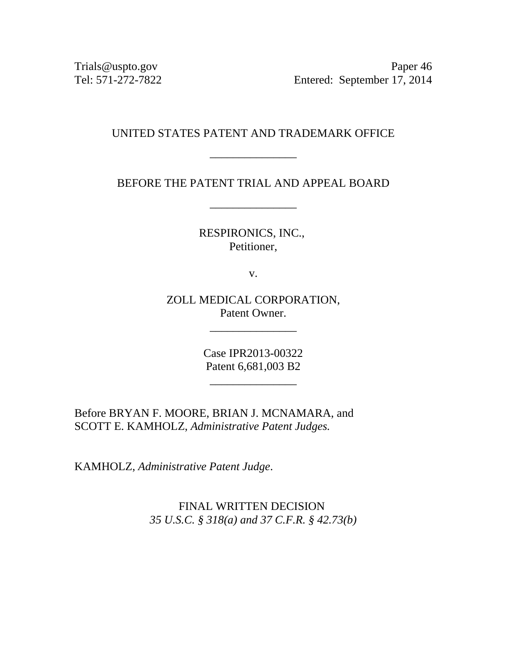Trials@uspto.gov Paper 46 Tel: 571-272-7822 Entered: September 17, 2014

# UNITED STATES PATENT AND TRADEMARK OFFICE

\_\_\_\_\_\_\_\_\_\_\_\_\_\_\_

BEFORE THE PATENT TRIAL AND APPEAL BOARD

\_\_\_\_\_\_\_\_\_\_\_\_\_\_\_

RESPIRONICS, INC., Petitioner,

v.

ZOLL MEDICAL CORPORATION, Patent Owner.

\_\_\_\_\_\_\_\_\_\_\_\_\_\_\_

Case IPR2013-00322 Patent 6,681,003 B2

\_\_\_\_\_\_\_\_\_\_\_\_\_\_\_

Before BRYAN F. MOORE, BRIAN J. MCNAMARA, and SCOTT E. KAMHOLZ, *Administrative Patent Judges.* 

KAMHOLZ, *Administrative Patent Judge*.

FINAL WRITTEN DECISION *35 U.S.C. § 318(a) and 37 C.F.R. § 42.73(b)*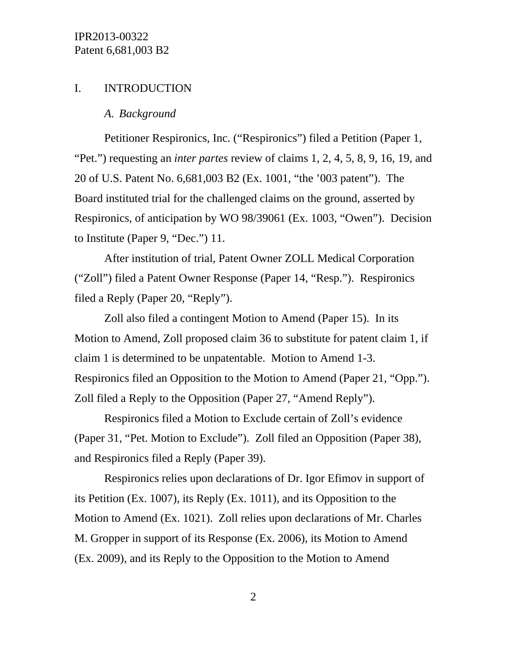# I. INTRODUCTION

#### *A. Background*

Petitioner Respironics, Inc. ("Respironics") filed a Petition (Paper 1, "Pet.") requesting an *inter partes* review of claims 1, 2, 4, 5, 8, 9, 16, 19, and 20 of U.S. Patent No. 6,681,003 B2 (Ex. 1001, "the '003 patent"). The Board instituted trial for the challenged claims on the ground, asserted by Respironics, of anticipation by WO 98/39061 (Ex. 1003, "Owen"). Decision to Institute (Paper 9, "Dec.") 11.

After institution of trial, Patent Owner ZOLL Medical Corporation ("Zoll") filed a Patent Owner Response (Paper 14, "Resp."). Respironics filed a Reply (Paper 20, "Reply").

Zoll also filed a contingent Motion to Amend (Paper 15). In its Motion to Amend, Zoll proposed claim 36 to substitute for patent claim 1, if claim 1 is determined to be unpatentable. Motion to Amend 1-3. Respironics filed an Opposition to the Motion to Amend (Paper 21, "Opp."). Zoll filed a Reply to the Opposition (Paper 27, "Amend Reply").

Respironics filed a Motion to Exclude certain of Zoll's evidence (Paper 31, "Pet. Motion to Exclude"). Zoll filed an Opposition (Paper 38), and Respironics filed a Reply (Paper 39).

Respironics relies upon declarations of Dr. Igor Efimov in support of its Petition (Ex. 1007), its Reply (Ex. 1011), and its Opposition to the Motion to Amend (Ex. 1021). Zoll relies upon declarations of Mr. Charles M. Gropper in support of its Response (Ex. 2006), its Motion to Amend (Ex. 2009), and its Reply to the Opposition to the Motion to Amend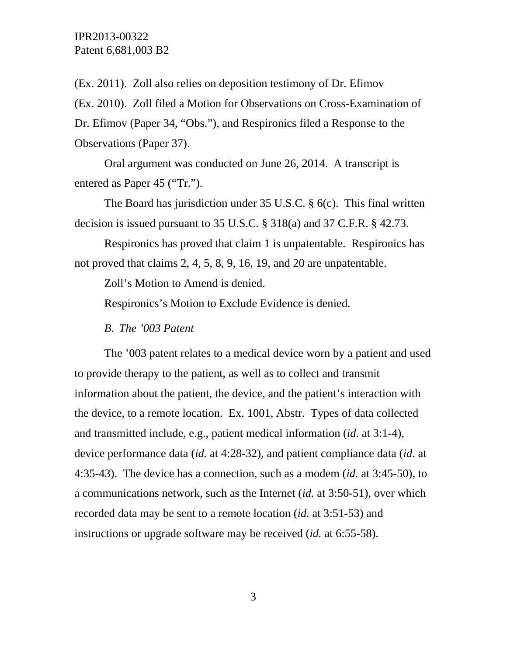(Ex. 2011). Zoll also relies on deposition testimony of Dr. Efimov (Ex. 2010). Zoll filed a Motion for Observations on Cross-Examination of Dr. Efimov (Paper 34, "Obs."), and Respironics filed a Response to the Observations (Paper 37).

Oral argument was conducted on June 26, 2014. A transcript is entered as Paper 45 ("Tr.").

The Board has jurisdiction under 35 U.S.C. § 6(c). This final written decision is issued pursuant to 35 U.S.C. § 318(a) and 37 C.F.R. § 42.73.

Respironics has proved that claim 1 is unpatentable. Respironics has not proved that claims 2, 4, 5, 8, 9, 16, 19, and 20 are unpatentable.

Zoll's Motion to Amend is denied.

Respironics's Motion to Exclude Evidence is denied.

*B. The '003 Patent* 

The '003 patent relates to a medical device worn by a patient and used to provide therapy to the patient, as well as to collect and transmit information about the patient, the device, and the patient's interaction with the device, to a remote location. Ex. 1001, Abstr. Types of data collected and transmitted include, e.g., patient medical information (*id*. at 3:1-4), device performance data (*id.* at 4:28-32), and patient compliance data (*id*. at 4:35-43). The device has a connection, such as a modem (*id.* at 3:45-50), to a communications network, such as the Internet (*id.* at 3:50-51), over which recorded data may be sent to a remote location (*id.* at 3:51-53) and instructions or upgrade software may be received (*id.* at 6:55-58).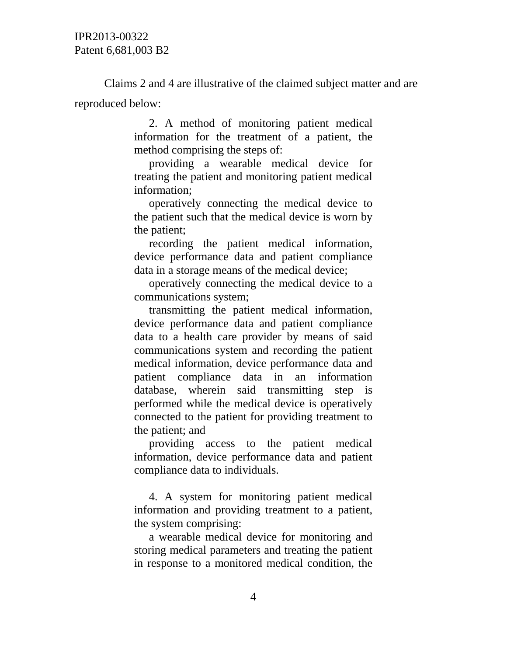Claims 2 and 4 are illustrative of the claimed subject matter and are reproduced below:

> 2. A method of monitoring patient medical information for the treatment of a patient, the method comprising the steps of:

> providing a wearable medical device for treating the patient and monitoring patient medical information;

> operatively connecting the medical device to the patient such that the medical device is worn by the patient;

> recording the patient medical information, device performance data and patient compliance data in a storage means of the medical device;

> operatively connecting the medical device to a communications system;

transmitting the patient medical information, device performance data and patient compliance data to a health care provider by means of said communications system and recording the patient medical information, device performance data and patient compliance data in an information database, wherein said transmitting step is performed while the medical device is operatively connected to the patient for providing treatment to the patient; and

providing access to the patient medical information, device performance data and patient compliance data to individuals.

4. A system for monitoring patient medical information and providing treatment to a patient, the system comprising:

a wearable medical device for monitoring and storing medical parameters and treating the patient in response to a monitored medical condition, the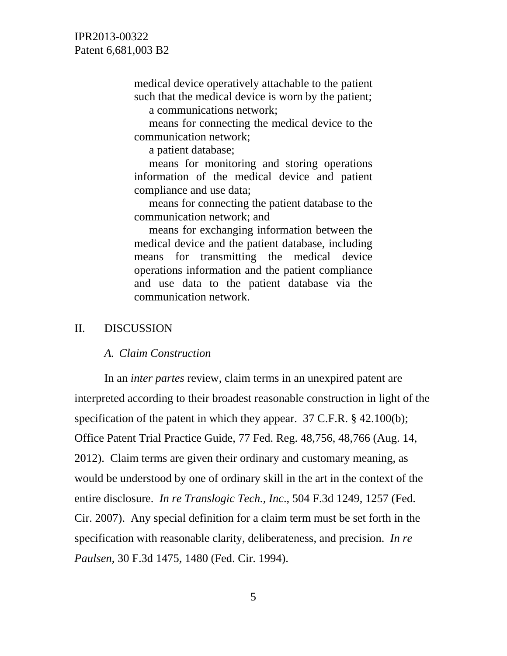medical device operatively attachable to the patient such that the medical device is worn by the patient; a communications network;

means for connecting the medical device to the communication network;

a patient database;

means for monitoring and storing operations information of the medical device and patient compliance and use data;

means for connecting the patient database to the communication network; and

means for exchanging information between the medical device and the patient database, including means for transmitting the medical device operations information and the patient compliance and use data to the patient database via the communication network.

#### II. DISCUSSION

#### *A. Claim Construction*

In an *inter partes* review, claim terms in an unexpired patent are interpreted according to their broadest reasonable construction in light of the specification of the patent in which they appear. 37 C.F.R. § 42.100(b); Office Patent Trial Practice Guide, 77 Fed. Reg. 48,756, 48,766 (Aug. 14, 2012). Claim terms are given their ordinary and customary meaning, as would be understood by one of ordinary skill in the art in the context of the entire disclosure. *In re Translogic Tech., Inc*., 504 F.3d 1249, 1257 (Fed. Cir. 2007). Any special definition for a claim term must be set forth in the specification with reasonable clarity, deliberateness, and precision. *In re Paulsen*, 30 F.3d 1475, 1480 (Fed. Cir. 1994).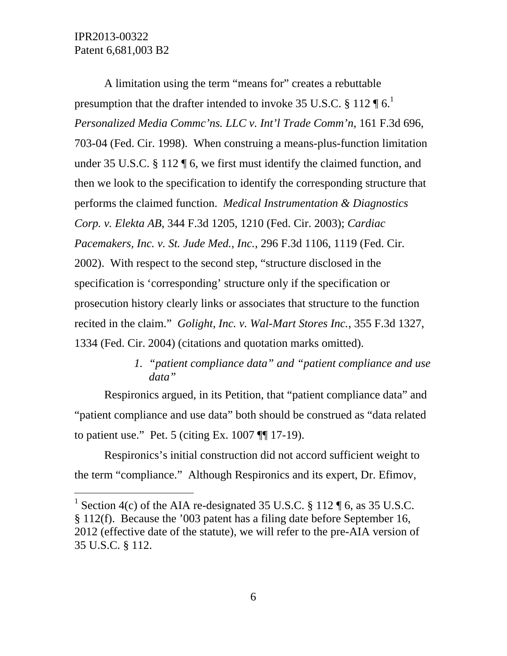$\overline{a}$ 

A limitation using the term "means for" creates a rebuttable presumption that the drafter intended to invoke 35 U.S.C. § 112  $\P$  6.<sup>1</sup> *Personalized Media Commc'ns. LLC v. Int'l Trade Comm'n*, 161 F.3d 696, 703-04 (Fed. Cir. 1998). When construing a means-plus-function limitation under 35 U.S.C. § 112 ¶ 6, we first must identify the claimed function, and then we look to the specification to identify the corresponding structure that performs the claimed function. *Medical Instrumentation & Diagnostics Corp. v. Elekta AB*, 344 F.3d 1205, 1210 (Fed. Cir. 2003); *Cardiac Pacemakers, Inc. v. St. Jude Med., Inc.*, 296 F.3d 1106, 1119 (Fed. Cir. 2002). With respect to the second step, "structure disclosed in the specification is 'corresponding' structure only if the specification or prosecution history clearly links or associates that structure to the function recited in the claim." *Golight, Inc. v. Wal-Mart Stores Inc.*, 355 F.3d 1327, 1334 (Fed. Cir. 2004) (citations and quotation marks omitted).

# *1. "patient compliance data" and "patient compliance and use data"*

Respironics argued, in its Petition, that "patient compliance data" and "patient compliance and use data" both should be construed as "data related to patient use." Pet. 5 (citing Ex. 1007 ¶¶ 17-19).

Respironics's initial construction did not accord sufficient weight to the term "compliance." Although Respironics and its expert, Dr. Efimov,

<sup>&</sup>lt;sup>1</sup> Section 4(c) of the AIA re-designated 35 U.S.C. § 112  $\P$  6, as 35 U.S.C. § 112(f). Because the '003 patent has a filing date before September 16, 2012 (effective date of the statute), we will refer to the pre-AIA version of 35 U.S.C. § 112.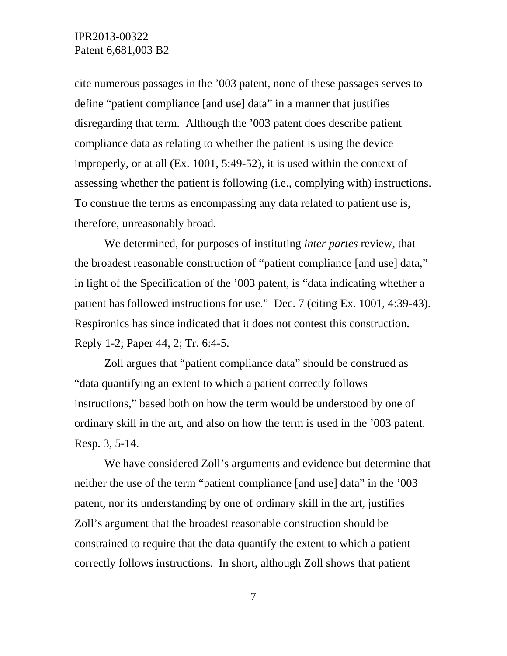cite numerous passages in the '003 patent, none of these passages serves to define "patient compliance [and use] data" in a manner that justifies disregarding that term. Although the '003 patent does describe patient compliance data as relating to whether the patient is using the device improperly, or at all (Ex. 1001, 5:49-52), it is used within the context of assessing whether the patient is following (i.e., complying with) instructions. To construe the terms as encompassing any data related to patient use is, therefore, unreasonably broad.

We determined, for purposes of instituting *inter partes* review, that the broadest reasonable construction of "patient compliance [and use] data," in light of the Specification of the '003 patent, is "data indicating whether a patient has followed instructions for use." Dec. 7 (citing Ex. 1001, 4:39-43). Respironics has since indicated that it does not contest this construction. Reply 1-2; Paper 44, 2; Tr. 6:4-5.

Zoll argues that "patient compliance data" should be construed as "data quantifying an extent to which a patient correctly follows instructions," based both on how the term would be understood by one of ordinary skill in the art, and also on how the term is used in the '003 patent. Resp. 3, 5-14.

We have considered Zoll's arguments and evidence but determine that neither the use of the term "patient compliance [and use] data" in the '003 patent, nor its understanding by one of ordinary skill in the art, justifies Zoll's argument that the broadest reasonable construction should be constrained to require that the data quantify the extent to which a patient correctly follows instructions. In short, although Zoll shows that patient

7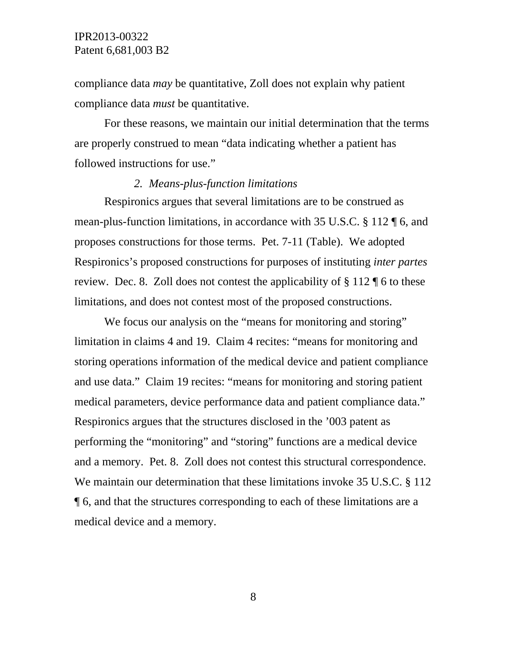compliance data *may* be quantitative, Zoll does not explain why patient compliance data *must* be quantitative.

For these reasons, we maintain our initial determination that the terms are properly construed to mean "data indicating whether a patient has followed instructions for use."

### *2. Means-plus-function limitations*

Respironics argues that several limitations are to be construed as mean-plus-function limitations, in accordance with 35 U.S.C. § 112 ¶ 6, and proposes constructions for those terms. Pet. 7-11 (Table). We adopted Respironics's proposed constructions for purposes of instituting *inter partes*  review. Dec. 8. Zoll does not contest the applicability of § 112 ¶ 6 to these limitations, and does not contest most of the proposed constructions.

We focus our analysis on the "means for monitoring and storing" limitation in claims 4 and 19. Claim 4 recites: "means for monitoring and storing operations information of the medical device and patient compliance and use data." Claim 19 recites: "means for monitoring and storing patient medical parameters, device performance data and patient compliance data." Respironics argues that the structures disclosed in the '003 patent as performing the "monitoring" and "storing" functions are a medical device and a memory. Pet. 8. Zoll does not contest this structural correspondence. We maintain our determination that these limitations invoke 35 U.S.C. § 112 ¶ 6, and that the structures corresponding to each of these limitations are a medical device and a memory.

8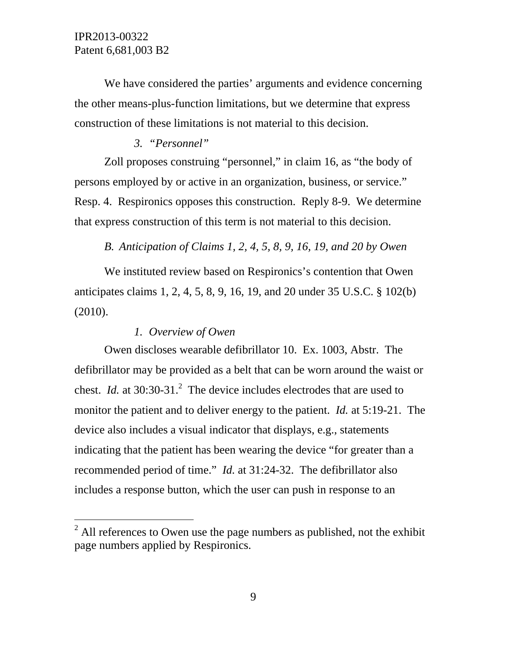l

We have considered the parties' arguments and evidence concerning the other means-plus-function limitations, but we determine that express construction of these limitations is not material to this decision.

### *3. "Personnel"*

Zoll proposes construing "personnel," in claim 16, as "the body of persons employed by or active in an organization, business, or service." Resp. 4. Respironics opposes this construction. Reply 8-9. We determine that express construction of this term is not material to this decision.

*B. Anticipation of Claims 1, 2, 4, 5, 8, 9, 16, 19, and 20 by Owen* 

We instituted review based on Respironics's contention that Owen anticipates claims 1, 2, 4, 5, 8, 9, 16, 19, and 20 under 35 U.S.C. § 102(b) (2010).

#### *1. Overview of Owen*

Owen discloses wearable defibrillator 10. Ex. 1003, Abstr. The defibrillator may be provided as a belt that can be worn around the waist or chest. *Id.* at 30:30-31.<sup>2</sup> The device includes electrodes that are used to monitor the patient and to deliver energy to the patient. *Id.* at 5:19-21. The device also includes a visual indicator that displays, e.g., statements indicating that the patient has been wearing the device "for greater than a recommended period of time." *Id.* at 31:24-32. The defibrillator also includes a response button, which the user can push in response to an

 $2^2$  All references to Owen use the page numbers as published, not the exhibit page numbers applied by Respironics.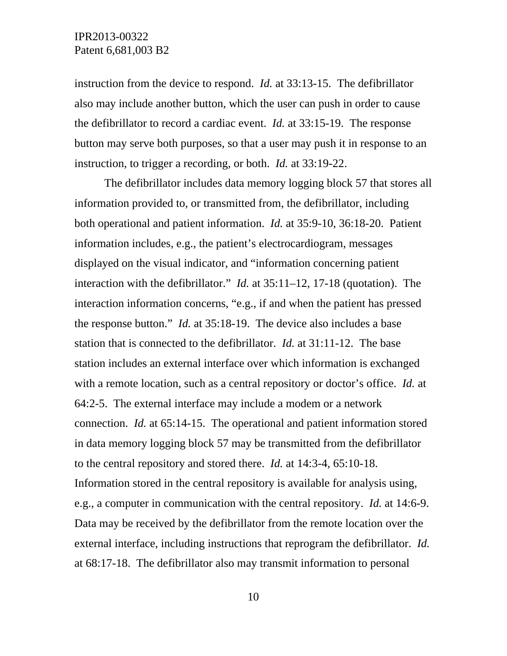instruction from the device to respond. *Id.* at 33:13-15. The defibrillator also may include another button, which the user can push in order to cause the defibrillator to record a cardiac event. *Id.* at 33:15-19. The response button may serve both purposes, so that a user may push it in response to an instruction, to trigger a recording, or both. *Id.* at 33:19-22.

The defibrillator includes data memory logging block 57 that stores all information provided to, or transmitted from, the defibrillator, including both operational and patient information. *Id.* at 35:9-10, 36:18-20. Patient information includes, e.g., the patient's electrocardiogram, messages displayed on the visual indicator, and "information concerning patient interaction with the defibrillator." *Id.* at 35:11–12, 17-18 (quotation). The interaction information concerns, "e.g., if and when the patient has pressed the response button." *Id.* at 35:18-19. The device also includes a base station that is connected to the defibrillator. *Id.* at 31:11-12. The base station includes an external interface over which information is exchanged with a remote location, such as a central repository or doctor's office. *Id.* at 64:2-5. The external interface may include a modem or a network connection. *Id.* at 65:14-15. The operational and patient information stored in data memory logging block 57 may be transmitted from the defibrillator to the central repository and stored there. *Id.* at 14:3-4, 65:10-18. Information stored in the central repository is available for analysis using, e.g., a computer in communication with the central repository. *Id.* at 14:6-9. Data may be received by the defibrillator from the remote location over the external interface, including instructions that reprogram the defibrillator. *Id.*  at 68:17-18. The defibrillator also may transmit information to personal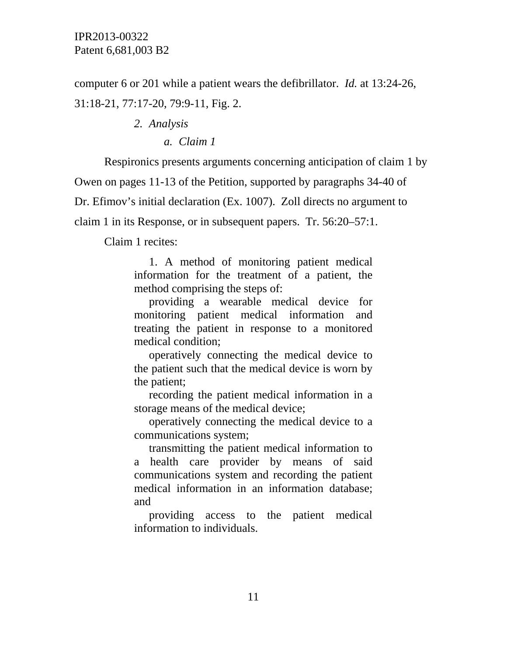computer 6 or 201 while a patient wears the defibrillator. *Id.* at 13:24-26, 31:18-21, 77:17-20, 79:9-11, Fig. 2.

*2. Analysis* 

*a. Claim 1* 

Respironics presents arguments concerning anticipation of claim 1 by

Owen on pages 11-13 of the Petition, supported by paragraphs 34-40 of

Dr. Efimov's initial declaration (Ex. 1007). Zoll directs no argument to

claim 1 in its Response, or in subsequent papers. Tr. 56:20–57:1.

Claim 1 recites:

1. A method of monitoring patient medical information for the treatment of a patient, the method comprising the steps of:

providing a wearable medical device for monitoring patient medical information and treating the patient in response to a monitored medical condition;

operatively connecting the medical device to the patient such that the medical device is worn by the patient;

recording the patient medical information in a storage means of the medical device;

operatively connecting the medical device to a communications system;

transmitting the patient medical information to a health care provider by means of said communications system and recording the patient medical information in an information database; and

providing access to the patient medical information to individuals.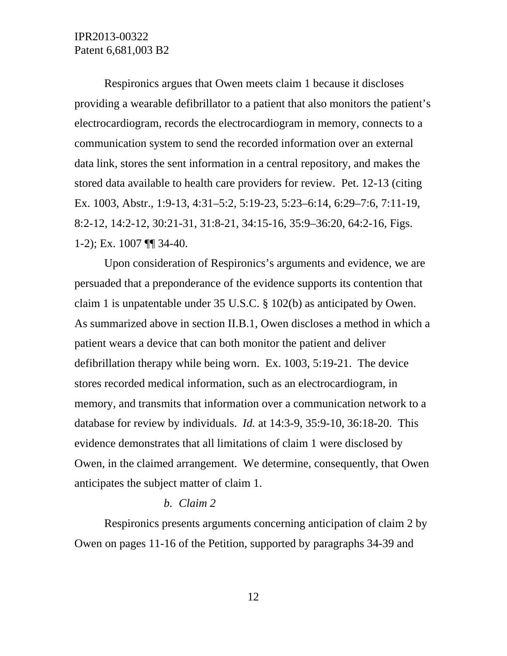Respironics argues that Owen meets claim 1 because it discloses providing a wearable defibrillator to a patient that also monitors the patient's electrocardiogram, records the electrocardiogram in memory, connects to a communication system to send the recorded information over an external data link, stores the sent information in a central repository, and makes the stored data available to health care providers for review. Pet. 12-13 (citing Ex. 1003, Abstr., 1:9-13, 4:31–5:2, 5:19-23, 5:23–6:14, 6:29–7:6, 7:11-19, 8:2-12, 14:2-12, 30:21-31, 31:8-21, 34:15-16, 35:9–36:20, 64:2-16, Figs. 1-2); Ex. 1007 ¶¶ 34-40.

Upon consideration of Respironics's arguments and evidence, we are persuaded that a preponderance of the evidence supports its contention that claim 1 is unpatentable under 35 U.S.C. § 102(b) as anticipated by Owen. As summarized above in section II.B.1, Owen discloses a method in which a patient wears a device that can both monitor the patient and deliver defibrillation therapy while being worn. Ex. 1003, 5:19-21. The device stores recorded medical information, such as an electrocardiogram, in memory, and transmits that information over a communication network to a database for review by individuals. *Id.* at 14:3-9, 35:9-10, 36:18-20. This evidence demonstrates that all limitations of claim 1 were disclosed by Owen, in the claimed arrangement. We determine, consequently, that Owen anticipates the subject matter of claim 1.

#### *b. Claim 2*

Respironics presents arguments concerning anticipation of claim 2 by Owen on pages 11-16 of the Petition, supported by paragraphs 34-39 and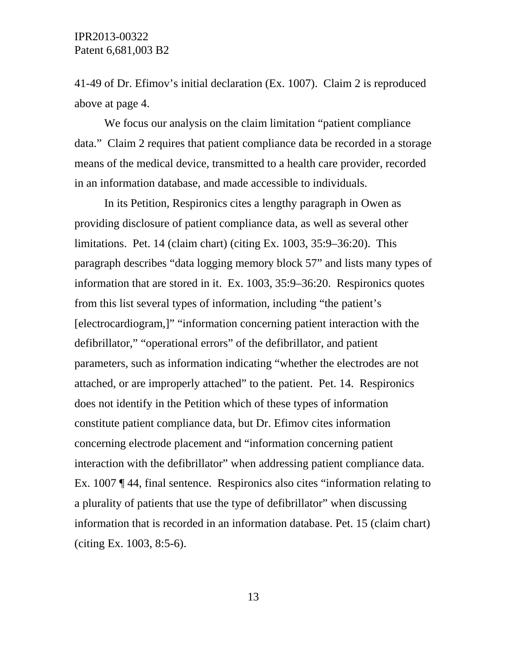41-49 of Dr. Efimov's initial declaration (Ex. 1007). Claim 2 is reproduced above at page 4.

We focus our analysis on the claim limitation "patient compliance data." Claim 2 requires that patient compliance data be recorded in a storage means of the medical device, transmitted to a health care provider, recorded in an information database, and made accessible to individuals.

In its Petition, Respironics cites a lengthy paragraph in Owen as providing disclosure of patient compliance data, as well as several other limitations. Pet. 14 (claim chart) (citing Ex. 1003, 35:9–36:20). This paragraph describes "data logging memory block 57" and lists many types of information that are stored in it. Ex. 1003, 35:9–36:20. Respironics quotes from this list several types of information, including "the patient's [electrocardiogram,]" "information concerning patient interaction with the defibrillator," "operational errors" of the defibrillator, and patient parameters, such as information indicating "whether the electrodes are not attached, or are improperly attached" to the patient. Pet. 14. Respironics does not identify in the Petition which of these types of information constitute patient compliance data, but Dr. Efimov cites information concerning electrode placement and "information concerning patient interaction with the defibrillator" when addressing patient compliance data. Ex. 1007 ¶ 44, final sentence. Respironics also cites "information relating to a plurality of patients that use the type of defibrillator" when discussing information that is recorded in an information database. Pet. 15 (claim chart) (citing Ex. 1003, 8:5-6).

13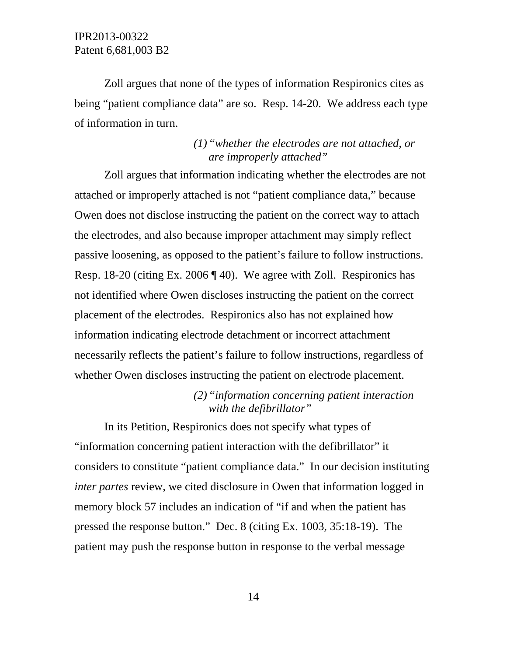Zoll argues that none of the types of information Respironics cites as being "patient compliance data" are so. Resp. 14-20. We address each type of information in turn.

# *(1)"whether the electrodes are not attached, or are improperly attached"*

Zoll argues that information indicating whether the electrodes are not attached or improperly attached is not "patient compliance data," because Owen does not disclose instructing the patient on the correct way to attach the electrodes, and also because improper attachment may simply reflect passive loosening, as opposed to the patient's failure to follow instructions. Resp. 18-20 (citing Ex. 2006 ¶ 40). We agree with Zoll. Respironics has not identified where Owen discloses instructing the patient on the correct placement of the electrodes. Respironics also has not explained how information indicating electrode detachment or incorrect attachment necessarily reflects the patient's failure to follow instructions, regardless of whether Owen discloses instructing the patient on electrode placement.

> *(2)"information concerning patient interaction with the defibrillator"*

In its Petition, Respironics does not specify what types of "information concerning patient interaction with the defibrillator" it considers to constitute "patient compliance data." In our decision instituting *inter partes* review, we cited disclosure in Owen that information logged in memory block 57 includes an indication of "if and when the patient has pressed the response button." Dec. 8 (citing Ex. 1003, 35:18-19). The patient may push the response button in response to the verbal message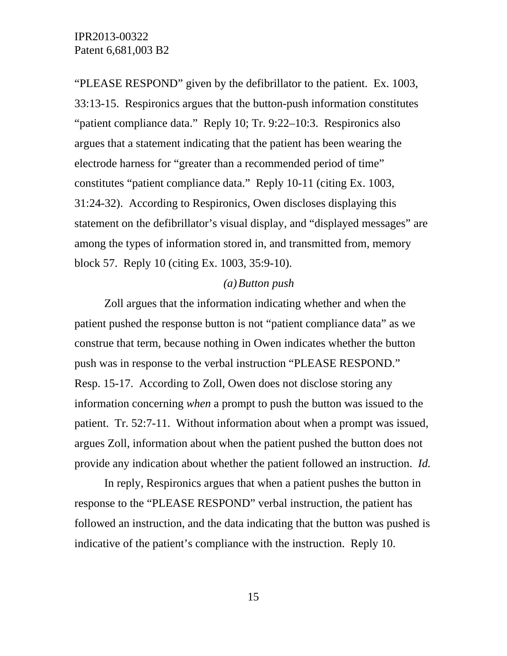"PLEASE RESPOND" given by the defibrillator to the patient. Ex. 1003, 33:13-15. Respironics argues that the button-push information constitutes "patient compliance data." Reply 10; Tr. 9:22–10:3. Respironics also argues that a statement indicating that the patient has been wearing the electrode harness for "greater than a recommended period of time" constitutes "patient compliance data." Reply 10-11 (citing Ex. 1003, 31:24-32). According to Respironics, Owen discloses displaying this statement on the defibrillator's visual display, and "displayed messages" are among the types of information stored in, and transmitted from, memory block 57. Reply 10 (citing Ex. 1003, 35:9-10).

#### *(a)Button push*

Zoll argues that the information indicating whether and when the patient pushed the response button is not "patient compliance data" as we construe that term, because nothing in Owen indicates whether the button push was in response to the verbal instruction "PLEASE RESPOND." Resp. 15-17. According to Zoll, Owen does not disclose storing any information concerning *when* a prompt to push the button was issued to the patient. Tr. 52:7-11. Without information about when a prompt was issued, argues Zoll, information about when the patient pushed the button does not provide any indication about whether the patient followed an instruction. *Id.*

In reply, Respironics argues that when a patient pushes the button in response to the "PLEASE RESPOND" verbal instruction, the patient has followed an instruction, and the data indicating that the button was pushed is indicative of the patient's compliance with the instruction. Reply 10.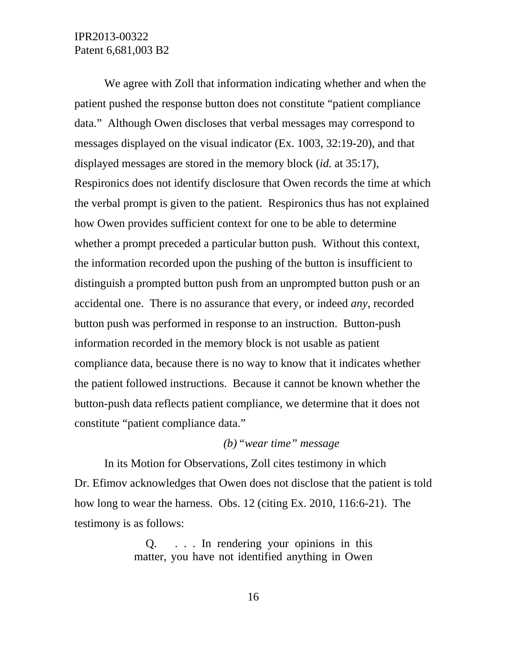We agree with Zoll that information indicating whether and when the patient pushed the response button does not constitute "patient compliance data." Although Owen discloses that verbal messages may correspond to messages displayed on the visual indicator (Ex. 1003, 32:19-20), and that displayed messages are stored in the memory block (*id.* at 35:17), Respironics does not identify disclosure that Owen records the time at which the verbal prompt is given to the patient. Respironics thus has not explained how Owen provides sufficient context for one to be able to determine whether a prompt preceded a particular button push. Without this context, the information recorded upon the pushing of the button is insufficient to distinguish a prompted button push from an unprompted button push or an accidental one. There is no assurance that every, or indeed *any*, recorded button push was performed in response to an instruction. Button-push information recorded in the memory block is not usable as patient compliance data, because there is no way to know that it indicates whether the patient followed instructions. Because it cannot be known whether the button-push data reflects patient compliance, we determine that it does not constitute "patient compliance data."

### *(b)"wear time" message*

In its Motion for Observations, Zoll cites testimony in which Dr. Efimov acknowledges that Owen does not disclose that the patient is told how long to wear the harness. Obs. 12 (citing Ex. 2010, 116:6-21). The testimony is as follows:

> Q. . . . In rendering your opinions in this matter, you have not identified anything in Owen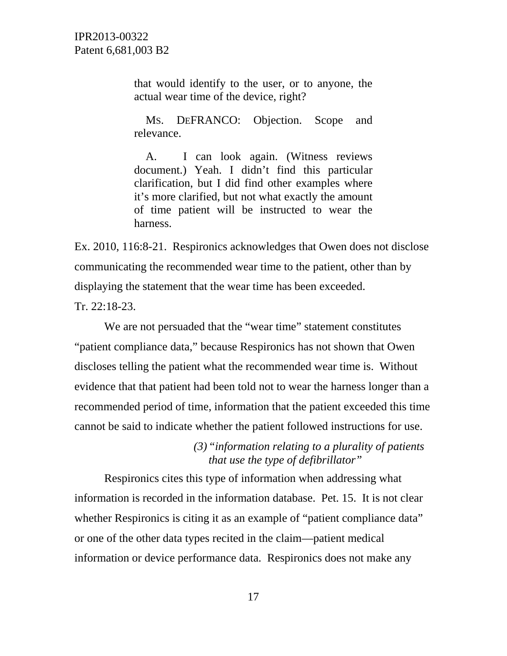> that would identify to the user, or to anyone, the actual wear time of the device, right?

> MS. DEFRANCO: Objection. Scope and relevance.

> A. I can look again. (Witness reviews document.) Yeah. I didn't find this particular clarification, but I did find other examples where it's more clarified, but not what exactly the amount of time patient will be instructed to wear the harness.

Ex. 2010, 116:8-21. Respironics acknowledges that Owen does not disclose communicating the recommended wear time to the patient, other than by displaying the statement that the wear time has been exceeded.

Tr. 22:18-23.

We are not persuaded that the "wear time" statement constitutes "patient compliance data," because Respironics has not shown that Owen discloses telling the patient what the recommended wear time is. Without evidence that that patient had been told not to wear the harness longer than a recommended period of time, information that the patient exceeded this time cannot be said to indicate whether the patient followed instructions for use.

> *(3)"information relating to a plurality of patients that use the type of defibrillator"*

Respironics cites this type of information when addressing what information is recorded in the information database. Pet. 15. It is not clear whether Respironics is citing it as an example of "patient compliance data" or one of the other data types recited in the claim—patient medical information or device performance data. Respironics does not make any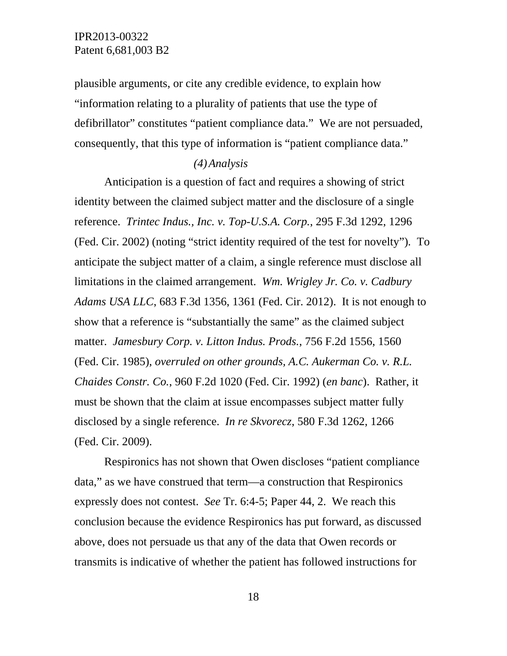plausible arguments, or cite any credible evidence, to explain how "information relating to a plurality of patients that use the type of defibrillator" constitutes "patient compliance data." We are not persuaded, consequently, that this type of information is "patient compliance data."

#### *(4)Analysis*

Anticipation is a question of fact and requires a showing of strict identity between the claimed subject matter and the disclosure of a single reference. *Trintec Indus., Inc. v. Top-U.S.A. Corp.*, 295 F.3d 1292, 1296 (Fed. Cir. 2002) (noting "strict identity required of the test for novelty")*.* To anticipate the subject matter of a claim, a single reference must disclose all limitations in the claimed arrangement. *Wm. Wrigley Jr. Co. v. Cadbury Adams USA LLC*, 683 F.3d 1356, 1361 (Fed. Cir. 2012). It is not enough to show that a reference is "substantially the same" as the claimed subject matter. *Jamesbury Corp. v. Litton Indus. Prods.*, 756 F.2d 1556, 1560 (Fed. Cir. 1985), *overruled on other grounds, A.C. Aukerman Co. v. R.L. Chaides Constr. Co.*, 960 F.2d 1020 (Fed. Cir. 1992) (*en banc*). Rather, it must be shown that the claim at issue encompasses subject matter fully disclosed by a single reference. *In re Skvorecz*, 580 F.3d 1262, 1266 (Fed. Cir. 2009).

Respironics has not shown that Owen discloses "patient compliance data," as we have construed that term—a construction that Respironics expressly does not contest. *See* Tr. 6:4-5; Paper 44, 2. We reach this conclusion because the evidence Respironics has put forward, as discussed above, does not persuade us that any of the data that Owen records or transmits is indicative of whether the patient has followed instructions for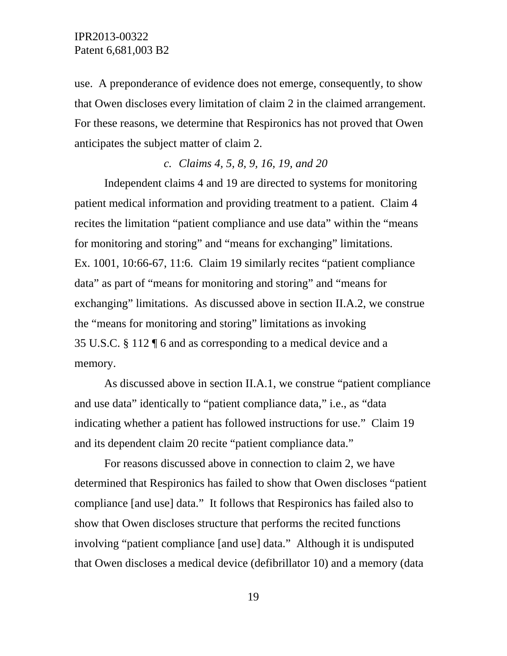use. A preponderance of evidence does not emerge, consequently, to show that Owen discloses every limitation of claim 2 in the claimed arrangement. For these reasons, we determine that Respironics has not proved that Owen anticipates the subject matter of claim 2.

### *c. Claims 4, 5, 8, 9, 16, 19, and 20*

Independent claims 4 and 19 are directed to systems for monitoring patient medical information and providing treatment to a patient. Claim 4 recites the limitation "patient compliance and use data" within the "means for monitoring and storing" and "means for exchanging" limitations. Ex. 1001, 10:66-67, 11:6. Claim 19 similarly recites "patient compliance data" as part of "means for monitoring and storing" and "means for exchanging" limitations. As discussed above in section II.A.2, we construe the "means for monitoring and storing" limitations as invoking 35 U.S.C. § 112 ¶ 6 and as corresponding to a medical device and a memory.

As discussed above in section II.A.1, we construe "patient compliance and use data" identically to "patient compliance data," i.e., as "data indicating whether a patient has followed instructions for use." Claim 19 and its dependent claim 20 recite "patient compliance data."

For reasons discussed above in connection to claim 2, we have determined that Respironics has failed to show that Owen discloses "patient compliance [and use] data." It follows that Respironics has failed also to show that Owen discloses structure that performs the recited functions involving "patient compliance [and use] data." Although it is undisputed that Owen discloses a medical device (defibrillator 10) and a memory (data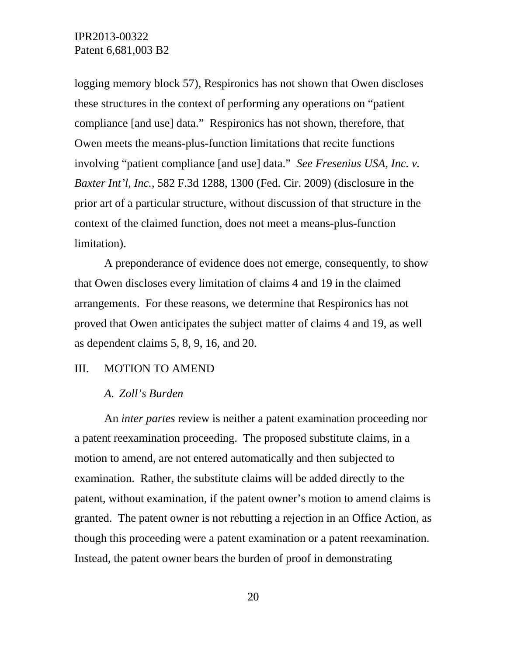logging memory block 57), Respironics has not shown that Owen discloses these structures in the context of performing any operations on "patient compliance [and use] data." Respironics has not shown, therefore, that Owen meets the means-plus-function limitations that recite functions involving "patient compliance [and use] data." *See Fresenius USA, Inc. v. Baxter Int'l, Inc.*, 582 F.3d 1288, 1300 (Fed. Cir. 2009) (disclosure in the prior art of a particular structure, without discussion of that structure in the context of the claimed function, does not meet a means-plus-function limitation).

A preponderance of evidence does not emerge, consequently, to show that Owen discloses every limitation of claims 4 and 19 in the claimed arrangements. For these reasons, we determine that Respironics has not proved that Owen anticipates the subject matter of claims 4 and 19, as well as dependent claims 5, 8, 9, 16, and 20.

#### III. MOTION TO AMEND

### *A. Zoll's Burden*

An *inter partes* review is neither a patent examination proceeding nor a patent reexamination proceeding. The proposed substitute claims, in a motion to amend, are not entered automatically and then subjected to examination. Rather, the substitute claims will be added directly to the patent, without examination, if the patent owner's motion to amend claims is granted. The patent owner is not rebutting a rejection in an Office Action, as though this proceeding were a patent examination or a patent reexamination. Instead, the patent owner bears the burden of proof in demonstrating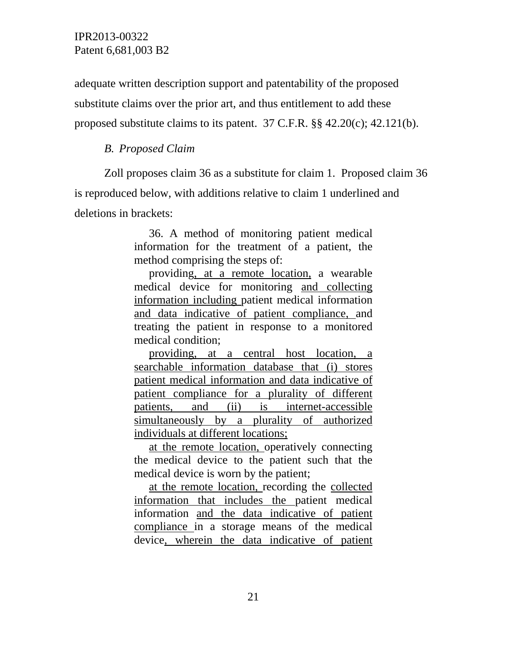adequate written description support and patentability of the proposed substitute claims over the prior art, and thus entitlement to add these proposed substitute claims to its patent.  $37 \text{ C.F.R.}$  §§  $42.20(c)$ ;  $42.121(b)$ .

### *B. Proposed Claim*

Zoll proposes claim 36 as a substitute for claim 1. Proposed claim 36 is reproduced below, with additions relative to claim 1 underlined and deletions in brackets:

> 36. A method of monitoring patient medical information for the treatment of a patient, the method comprising the steps of:

> providing, at a remote location, a wearable medical device for monitoring and collecting information including patient medical information and data indicative of patient compliance, and treating the patient in response to a monitored medical condition;

> providing, at a central host location, a searchable information database that (i) stores patient medical information and data indicative of patient compliance for a plurality of different patients, and (ii) is internet-accessible simultaneously by a plurality of authorized individuals at different locations;

> at the remote location, operatively connecting the medical device to the patient such that the medical device is worn by the patient;

> at the remote location, recording the collected information that includes the patient medical information and the data indicative of patient compliance in a storage means of the medical device, wherein the data indicative of patient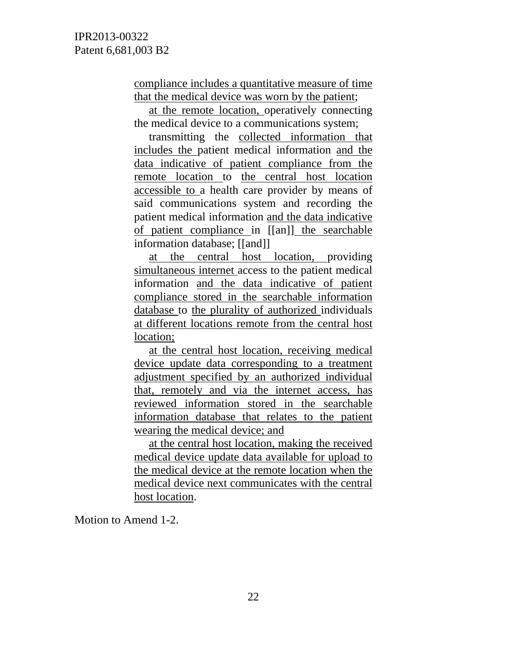compliance includes a quantitative measure of time that the medical device was worn by the patient;

at the remote location, operatively connecting the medical device to a communications system;

transmitting the collected information that includes the patient medical information and the data indicative of patient compliance from the remote location to the central host location accessible to a health care provider by means of said communications system and recording the patient medical information and the data indicative of patient compliance in [[an]] the searchable information database; [[and]]

at the central host location, providing simultaneous internet access to the patient medical information and the data indicative of patient compliance stored in the searchable information database to the plurality of authorized individuals at different locations remote from the central host location;

at the central host location, receiving medical device update data corresponding to a treatment adjustment specified by an authorized individual that, remotely and via the internet access, has reviewed information stored in the searchable information database that relates to the patient wearing the medical device; and

at the central host location, making the received medical device update data available for upload to the medical device at the remote location when the medical device next communicates with the central host location.

Motion to Amend 1-2.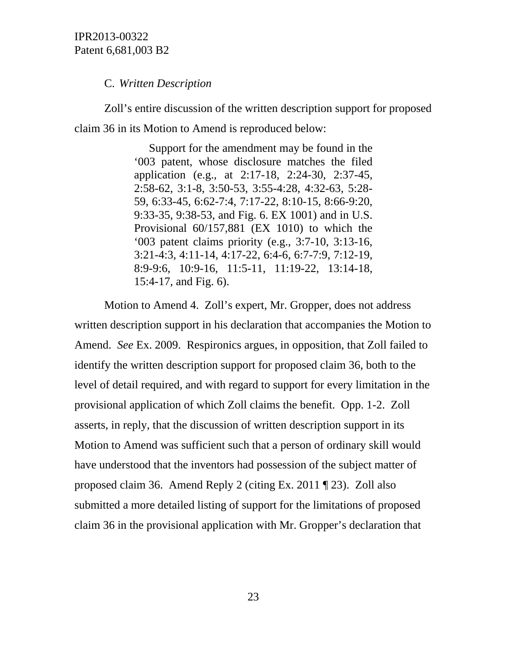C. *Written Description*

Zoll's entire discussion of the written description support for proposed claim 36 in its Motion to Amend is reproduced below:

> Support for the amendment may be found in the '003 patent, whose disclosure matches the filed application (e.g., at 2:17-18, 2:24-30, 2:37-45, 2:58-62, 3:1-8, 3:50-53, 3:55-4:28, 4:32-63, 5:28- 59, 6:33-45, 6:62-7:4, 7:17-22, 8:10-15, 8:66-9:20, 9:33-35, 9:38-53, and Fig. 6. EX 1001) and in U.S. Provisional 60/157,881 (EX 1010) to which the '003 patent claims priority (e.g., 3:7-10, 3:13-16, 3:21-4:3, 4:11-14, 4:17-22, 6:4-6, 6:7-7:9, 7:12-19, 8:9-9:6, 10:9-16, 11:5-11, 11:19-22, 13:14-18, 15:4-17, and Fig. 6).

Motion to Amend 4. Zoll's expert, Mr. Gropper, does not address written description support in his declaration that accompanies the Motion to Amend. *See* Ex. 2009. Respironics argues, in opposition, that Zoll failed to identify the written description support for proposed claim 36, both to the level of detail required, and with regard to support for every limitation in the provisional application of which Zoll claims the benefit. Opp. 1-2. Zoll asserts, in reply, that the discussion of written description support in its Motion to Amend was sufficient such that a person of ordinary skill would have understood that the inventors had possession of the subject matter of proposed claim 36. Amend Reply 2 (citing Ex. 2011 ¶ 23). Zoll also submitted a more detailed listing of support for the limitations of proposed claim 36 in the provisional application with Mr. Gropper's declaration that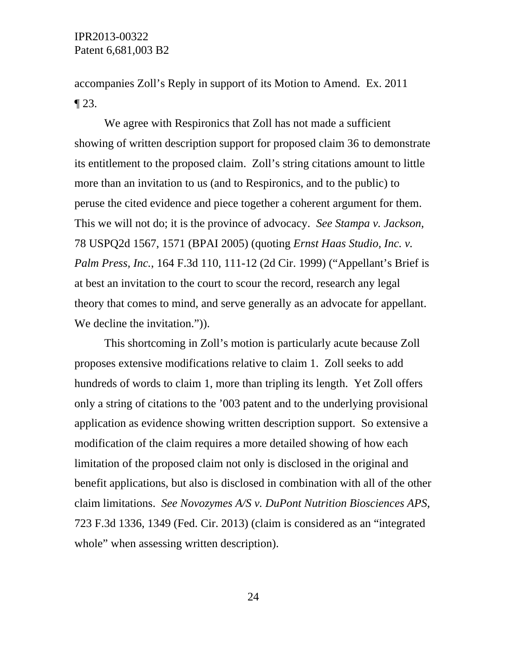accompanies Zoll's Reply in support of its Motion to Amend. Ex. 2011  $\P$  23.

We agree with Respironics that Zoll has not made a sufficient showing of written description support for proposed claim 36 to demonstrate its entitlement to the proposed claim. Zoll's string citations amount to little more than an invitation to us (and to Respironics, and to the public) to peruse the cited evidence and piece together a coherent argument for them. This we will not do; it is the province of advocacy. *See Stampa v. Jackson*, 78 USPQ2d 1567, 1571 (BPAI 2005) (quoting *Ernst Haas Studio, Inc. v. Palm Press, Inc.*, 164 F.3d 110, 111-12 (2d Cir. 1999) ("Appellant's Brief is at best an invitation to the court to scour the record, research any legal theory that comes to mind, and serve generally as an advocate for appellant. We decline the invitation.")).

This shortcoming in Zoll's motion is particularly acute because Zoll proposes extensive modifications relative to claim 1. Zoll seeks to add hundreds of words to claim 1, more than tripling its length. Yet Zoll offers only a string of citations to the '003 patent and to the underlying provisional application as evidence showing written description support. So extensive a modification of the claim requires a more detailed showing of how each limitation of the proposed claim not only is disclosed in the original and benefit applications, but also is disclosed in combination with all of the other claim limitations. *See Novozymes A/S v. DuPont Nutrition Biosciences APS*, 723 F.3d 1336, 1349 (Fed. Cir. 2013) (claim is considered as an "integrated whole" when assessing written description).

24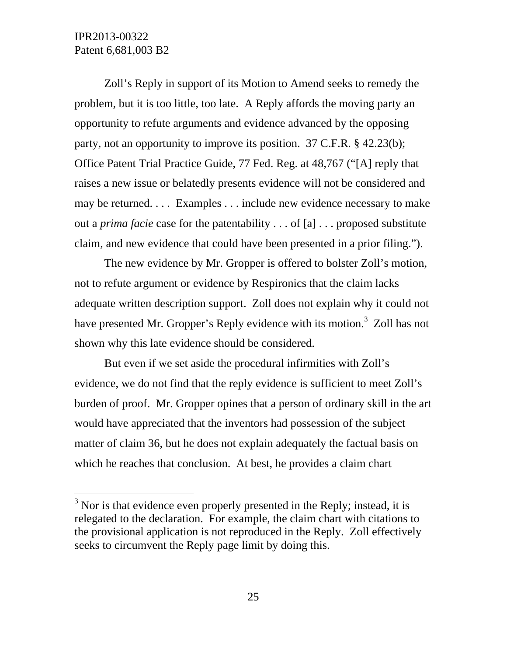l

Zoll's Reply in support of its Motion to Amend seeks to remedy the problem, but it is too little, too late. A Reply affords the moving party an opportunity to refute arguments and evidence advanced by the opposing party, not an opportunity to improve its position. 37 C.F.R. § 42.23(b); Office Patent Trial Practice Guide, 77 Fed. Reg. at 48,767 ("[A] reply that raises a new issue or belatedly presents evidence will not be considered and may be returned. . . . Examples . . . include new evidence necessary to make out a *prima facie* case for the patentability . . . of [a] . . . proposed substitute claim, and new evidence that could have been presented in a prior filing.").

The new evidence by Mr. Gropper is offered to bolster Zoll's motion, not to refute argument or evidence by Respironics that the claim lacks adequate written description support. Zoll does not explain why it could not have presented Mr. Gropper's Reply evidence with its motion.<sup>3</sup> Zoll has not shown why this late evidence should be considered.

But even if we set aside the procedural infirmities with Zoll's evidence, we do not find that the reply evidence is sufficient to meet Zoll's burden of proof. Mr. Gropper opines that a person of ordinary skill in the art would have appreciated that the inventors had possession of the subject matter of claim 36, but he does not explain adequately the factual basis on which he reaches that conclusion. At best, he provides a claim chart

 $3$  Nor is that evidence even properly presented in the Reply; instead, it is relegated to the declaration. For example, the claim chart with citations to the provisional application is not reproduced in the Reply. Zoll effectively seeks to circumvent the Reply page limit by doing this.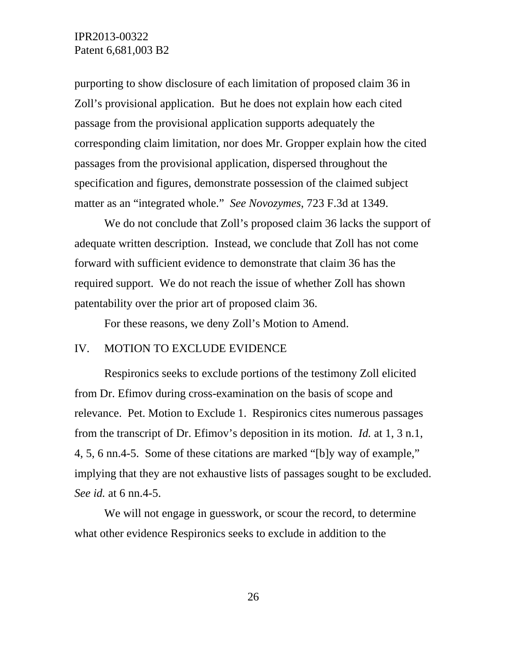purporting to show disclosure of each limitation of proposed claim 36 in Zoll's provisional application. But he does not explain how each cited passage from the provisional application supports adequately the corresponding claim limitation, nor does Mr. Gropper explain how the cited passages from the provisional application, dispersed throughout the specification and figures, demonstrate possession of the claimed subject matter as an "integrated whole." *See Novozymes*, 723 F.3d at 1349.

We do not conclude that Zoll's proposed claim 36 lacks the support of adequate written description. Instead, we conclude that Zoll has not come forward with sufficient evidence to demonstrate that claim 36 has the required support. We do not reach the issue of whether Zoll has shown patentability over the prior art of proposed claim 36.

For these reasons, we deny Zoll's Motion to Amend.

#### IV. MOTION TO EXCLUDE EVIDENCE

Respironics seeks to exclude portions of the testimony Zoll elicited from Dr. Efimov during cross-examination on the basis of scope and relevance. Pet. Motion to Exclude 1. Respironics cites numerous passages from the transcript of Dr. Efimov's deposition in its motion. *Id.* at 1, 3 n.1, 4, 5, 6 nn.4-5. Some of these citations are marked "[b]y way of example," implying that they are not exhaustive lists of passages sought to be excluded. *See id.* at 6 nn.4-5.

We will not engage in guesswork, or scour the record, to determine what other evidence Respironics seeks to exclude in addition to the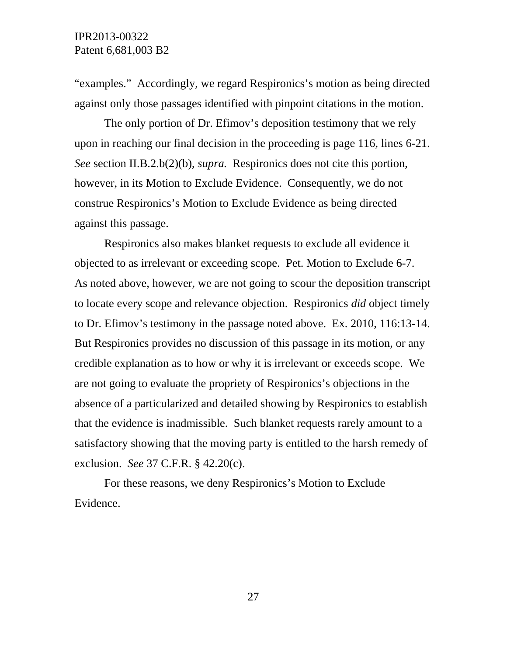"examples." Accordingly, we regard Respironics's motion as being directed against only those passages identified with pinpoint citations in the motion.

The only portion of Dr. Efimov's deposition testimony that we rely upon in reaching our final decision in the proceeding is page 116, lines 6-21. *See* section II.B.2.b(2)(b), *supra.* Respironics does not cite this portion, however, in its Motion to Exclude Evidence. Consequently, we do not construe Respironics's Motion to Exclude Evidence as being directed against this passage.

Respironics also makes blanket requests to exclude all evidence it objected to as irrelevant or exceeding scope. Pet. Motion to Exclude 6-7. As noted above, however, we are not going to scour the deposition transcript to locate every scope and relevance objection. Respironics *did* object timely to Dr. Efimov's testimony in the passage noted above. Ex. 2010, 116:13-14. But Respironics provides no discussion of this passage in its motion, or any credible explanation as to how or why it is irrelevant or exceeds scope. We are not going to evaluate the propriety of Respironics's objections in the absence of a particularized and detailed showing by Respironics to establish that the evidence is inadmissible. Such blanket requests rarely amount to a satisfactory showing that the moving party is entitled to the harsh remedy of exclusion. *See* 37 C.F.R. § 42.20(c).

For these reasons, we deny Respironics's Motion to Exclude Evidence.

27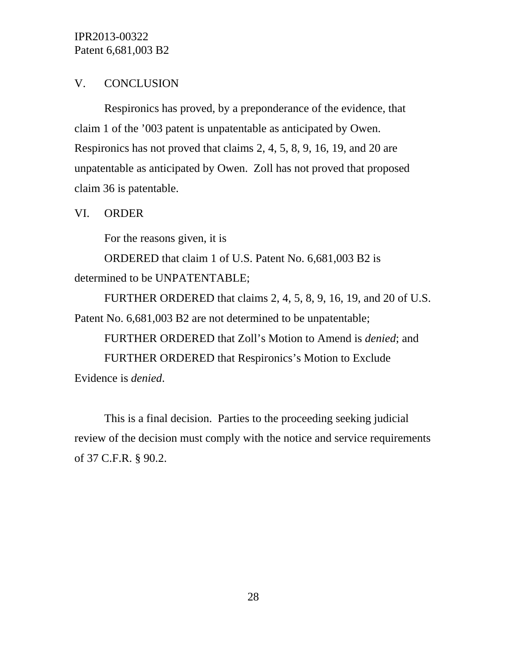# V. CONCLUSION

Respironics has proved, by a preponderance of the evidence, that claim 1 of the '003 patent is unpatentable as anticipated by Owen. Respironics has not proved that claims 2, 4, 5, 8, 9, 16, 19, and 20 are unpatentable as anticipated by Owen. Zoll has not proved that proposed claim 36 is patentable.

### VI. ORDER

For the reasons given, it is

ORDERED that claim 1 of U.S. Patent No. 6,681,003 B2 is determined to be UNPATENTABLE;

FURTHER ORDERED that claims 2, 4, 5, 8, 9, 16, 19, and 20 of U.S. Patent No. 6,681,003 B2 are not determined to be unpatentable;

FURTHER ORDERED that Zoll's Motion to Amend is *denied*; and FURTHER ORDERED that Respironics's Motion to Exclude Evidence is *denied*.

This is a final decision. Parties to the proceeding seeking judicial review of the decision must comply with the notice and service requirements of 37 C.F.R. § 90.2.